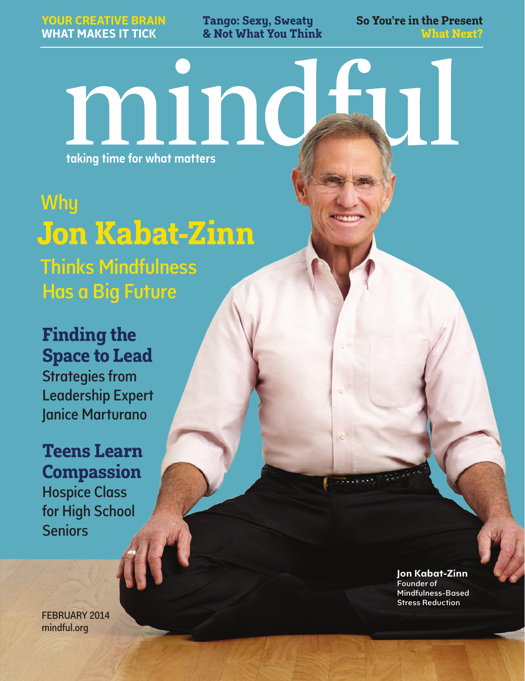**Tango: Sexy, Sweaty & Not What You Think** **So You're in the Present What Next?**

taking time for what matters

minc

**Why Jon Kabat-Zinn** Thinks Mindfulness Has a Big Future

**Finding the Space to Lead** Strategies from Leadership Expert Janice Marturano

**Teens Learn Compassion** Hospice Class for High School **Seniors** 

FEBRUARY 2014 mindful.org

**Jon Kabat-Zinn** Founder of Mindfulness-Based Stress Reduction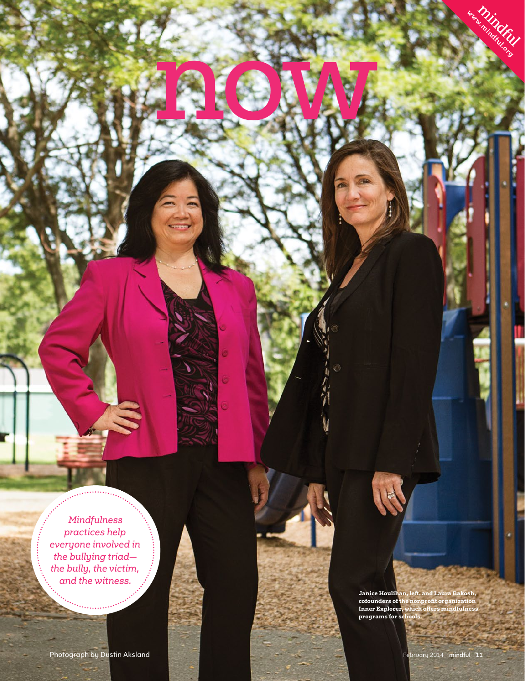*Mindfulness practices help everyone involved in the bullying triad the bully, the victim, and the witness.*

**Janice Houlihan, left, and Laura Bakosh, cofounders of the nonprofit organization Inner Explorer, which offers mindfulness programs for schools.**

**<www.mindful.org>** 

now